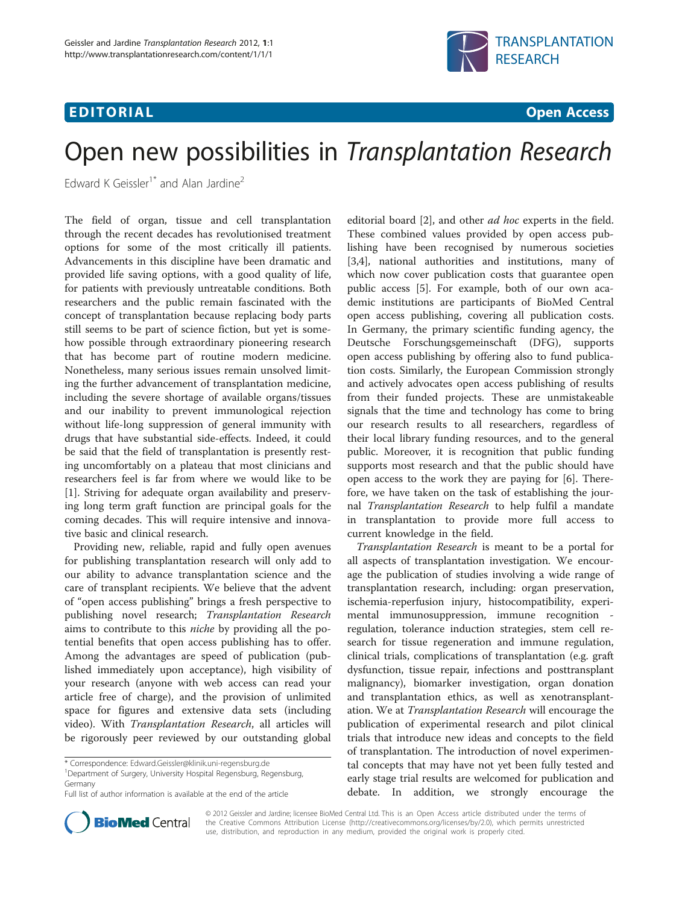# **EDITORIAL** CONTROL CONTROL CONTROL CONTROL CONTROL CONTROL CONTROL CONTROL CONTROL CONTROL CONTROL CONTROL CONTROL CONTROL CONTROL CONTROL CONTROL CONTROL CONTROL CONTROL CONTROL CONTROL CONTROL CONTROL CONTROL CONTROL CO



# Open new possibilities in Transplantation Research

Edward K Geissler<sup>1\*</sup> and Alan Jardine<sup>2</sup>

The field of organ, tissue and cell transplantation through the recent decades has revolutionised treatment options for some of the most critically ill patients. Advancements in this discipline have been dramatic and provided life saving options, with a good quality of life, for patients with previously untreatable conditions. Both researchers and the public remain fascinated with the concept of transplantation because replacing body parts still seems to be part of science fiction, but yet is somehow possible through extraordinary pioneering research that has become part of routine modern medicine. Nonetheless, many serious issues remain unsolved limiting the further advancement of transplantation medicine, including the severe shortage of available organs/tissues and our inability to prevent immunological rejection without life-long suppression of general immunity with drugs that have substantial side-effects. Indeed, it could be said that the field of transplantation is presently resting uncomfortably on a plateau that most clinicians and researchers feel is far from where we would like to be [[1\]](#page-1-0). Striving for adequate organ availability and preserving long term graft function are principal goals for the coming decades. This will require intensive and innovative basic and clinical research.

Providing new, reliable, rapid and fully open avenues for publishing transplantation research will only add to our ability to advance transplantation science and the care of transplant recipients. We believe that the advent of "open access publishing" brings a fresh perspective to publishing novel research; Transplantation Research aims to contribute to this niche by providing all the potential benefits that open access publishing has to offer. Among the advantages are speed of publication (published immediately upon acceptance), high visibility of your research (anyone with web access can read your article free of charge), and the provision of unlimited space for figures and extensive data sets (including video). With Transplantation Research, all articles will be rigorously peer reviewed by our outstanding global

<sup>1</sup>Department of Surgery, University Hospital Regensburg, Regensburg, Germany



editorial board [\[2](#page-1-0)], and other *ad hoc* experts in the field.

Transplantation Research is meant to be a portal for all aspects of transplantation investigation. We encourage the publication of studies involving a wide range of transplantation research, including: organ preservation, ischemia-reperfusion injury, histocompatibility, experimental immunosuppression, immune recognition regulation, tolerance induction strategies, stem cell research for tissue regeneration and immune regulation, clinical trials, complications of transplantation (e.g. graft dysfunction, tissue repair, infections and posttransplant malignancy), biomarker investigation, organ donation and transplantation ethics, as well as xenotransplantation. We at Transplantation Research will encourage the publication of experimental research and pilot clinical trials that introduce new ideas and concepts to the field of transplantation. The introduction of novel experimental concepts that may have not yet been fully tested and early stage trial results are welcomed for publication and debate. In addition, we strongly encourage



© 2012 Geissler and Jardine; licensee BioMed Central Ltd. This is an Open Access article distributed under the terms of the Creative Commons Attribution License [\(http://creativecommons.org/licenses/by/2.0\)](http://creativecommons.org/licenses/by/2.0), which permits unrestricted use, distribution, and reproduction in any medium, provided the original work is properly cited.

<sup>\*</sup> Correspondence: [Edward.Geissler@klinik.uni-regensburg.de](mailto:Edward.Geissler@klinik.uni-regensburg.de) <sup>1</sup>

Full list of author information is available at the end of the article